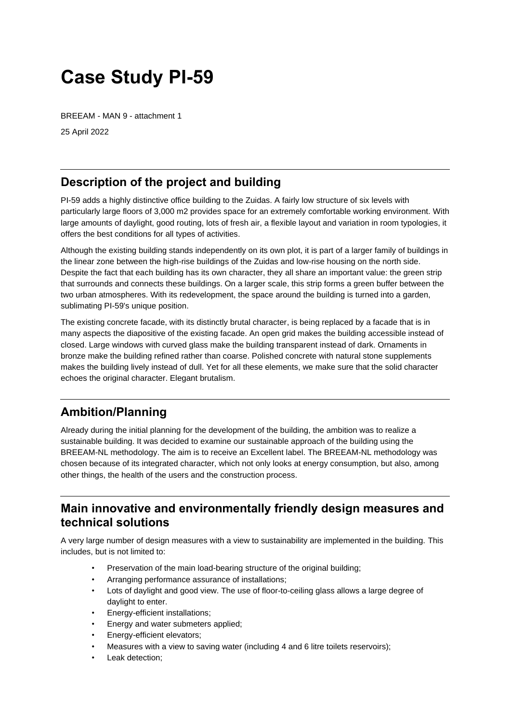# **Case Study PI-59**

BREEAM - MAN 9 - attachment 1

25 April 2022

## **Description of the project and building**

PI-59 adds a highly distinctive office building to the Zuidas. A fairly low structure of six levels with particularly large floors of 3,000 m2 provides space for an extremely comfortable working environment. With large amounts of daylight, good routing, lots of fresh air, a flexible layout and variation in room typologies, it offers the best conditions for all types of activities.

Although the existing building stands independently on its own plot, it is part of a larger family of buildings in the linear zone between the high-rise buildings of the Zuidas and low-rise housing on the north side. Despite the fact that each building has its own character, they all share an important value: the green strip that surrounds and connects these buildings. On a larger scale, this strip forms a green buffer between the two urban atmospheres. With its redevelopment, the space around the building is turned into a garden, sublimating PI-59's unique position.

The existing concrete facade, with its distinctly brutal character, is being replaced by a facade that is in many aspects the diapositive of the existing facade. An open grid makes the building accessible instead of closed. Large windows with curved glass make the building transparent instead of dark. Ornaments in bronze make the building refined rather than coarse. Polished concrete with natural stone supplements makes the building lively instead of dull. Yet for all these elements, we make sure that the solid character echoes the original character. Elegant brutalism.

# **Ambition/Planning**

Already during the initial planning for the development of the building, the ambition was to realize a sustainable building. It was decided to examine our sustainable approach of the building using the BREEAM-NL methodology. The aim is to receive an Excellent label. The BREEAM-NL methodology was chosen because of its integrated character, which not only looks at energy consumption, but also, among other things, the health of the users and the construction process.

#### **Main innovative and environmentally friendly design measures and technical solutions**

A very large number of design measures with a view to sustainability are implemented in the building. This includes, but is not limited to:

- Preservation of the main load-bearing structure of the original building;
- Arranging performance assurance of installations;
- Lots of daylight and good view. The use of floor-to-ceiling glass allows a large degree of daylight to enter.
- Energy-efficient installations;
- Energy and water submeters applied;
- Energy-efficient elevators;
- Measures with a view to saving water (including 4 and 6 litre toilets reservoirs);
- Leak detection;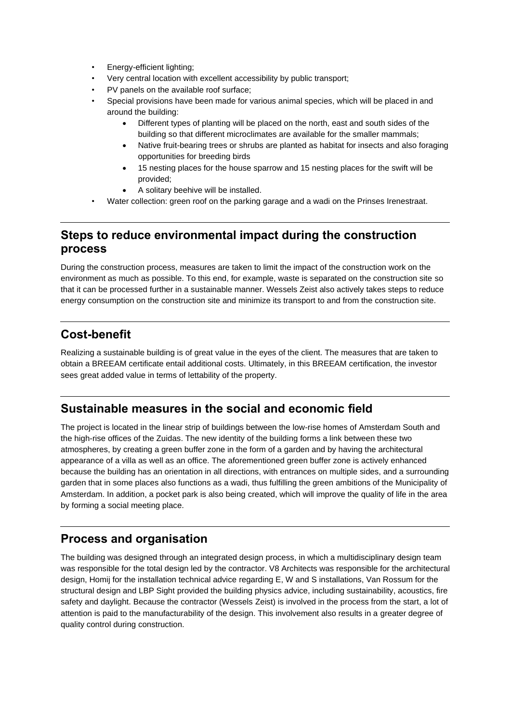- Energy-efficient lighting;
- Very central location with excellent accessibility by public transport;
- PV panels on the available roof surface;
- Special provisions have been made for various animal species, which will be placed in and around the building:
	- Different types of planting will be placed on the north, east and south sides of the building so that different microclimates are available for the smaller mammals;
	- Native fruit-bearing trees or shrubs are planted as habitat for insects and also foraging opportunities for breeding birds
	- 15 nesting places for the house sparrow and 15 nesting places for the swift will be provided;
	- A solitary beehive will be installed.
- Water collection: green roof on the parking garage and a wadi on the Prinses Irenestraat.

#### **Steps to reduce environmental impact during the construction process**

During the construction process, measures are taken to limit the impact of the construction work on the environment as much as possible. To this end, for example, waste is separated on the construction site so that it can be processed further in a sustainable manner. Wessels Zeist also actively takes steps to reduce energy consumption on the construction site and minimize its transport to and from the construction site.

#### **Cost-benefit**

Realizing a sustainable building is of great value in the eyes of the client. The measures that are taken to obtain a BREEAM certificate entail additional costs. Ultimately, in this BREEAM certification, the investor sees great added value in terms of lettability of the property.

#### **Sustainable measures in the social and economic field**

The project is located in the linear strip of buildings between the low-rise homes of Amsterdam South and the high-rise offices of the Zuidas. The new identity of the building forms a link between these two atmospheres, by creating a green buffer zone in the form of a garden and by having the architectural appearance of a villa as well as an office. The aforementioned green buffer zone is actively enhanced because the building has an orientation in all directions, with entrances on multiple sides, and a surrounding garden that in some places also functions as a wadi, thus fulfilling the green ambitions of the Municipality of Amsterdam. In addition, a pocket park is also being created, which will improve the quality of life in the area by forming a social meeting place.

#### **Process and organisation**

The building was designed through an integrated design process, in which a multidisciplinary design team was responsible for the total design led by the contractor. V8 Architects was responsible for the architectural design, Homij for the installation technical advice regarding E, W and S installations, Van Rossum for the structural design and LBP Sight provided the building physics advice, including sustainability, acoustics, fire safety and daylight. Because the contractor (Wessels Zeist) is involved in the process from the start, a lot of attention is paid to the manufacturability of the design. This involvement also results in a greater degree of quality control during construction.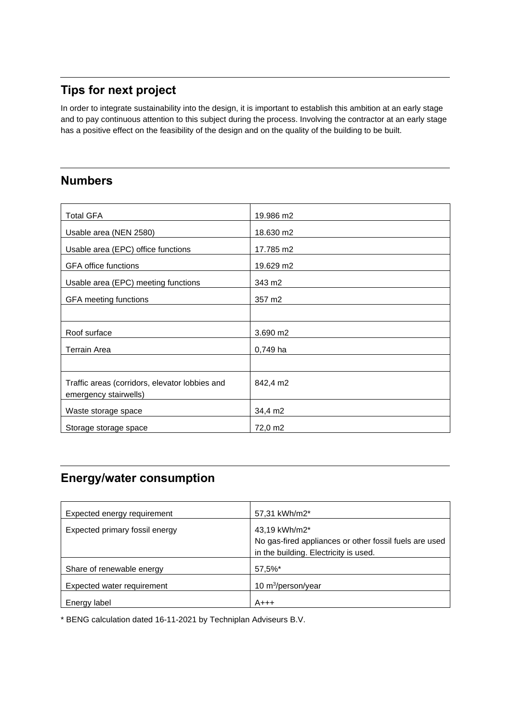# **Tips for next project**

In order to integrate sustainability into the design, it is important to establish this ambition at an early stage and to pay continuous attention to this subject during the process. Involving the contractor at an early stage has a positive effect on the feasibility of the design and on the quality of the building to be built.

#### **Numbers**

| <b>Total GFA</b>                                                        | 19.986 m2  |
|-------------------------------------------------------------------------|------------|
| Usable area (NEN 2580)                                                  | 18.630 m2  |
| Usable area (EPC) office functions                                      | 17.785 m2  |
| <b>GFA office functions</b>                                             | 19.629 m2  |
| Usable area (EPC) meeting functions                                     | 343 m2     |
| GFA meeting functions                                                   | 357 m2     |
|                                                                         |            |
| Roof surface                                                            | 3.690 m2   |
| <b>Terrain Area</b>                                                     | $0,749$ ha |
|                                                                         |            |
| Traffic areas (corridors, elevator lobbies and<br>emergency stairwells) | 842,4 m2   |
| Waste storage space                                                     | 34,4 m2    |
| Storage storage space                                                   | 72,0 m2    |

# **Energy/water consumption**

| Expected energy requirement    | 57,31 kWh/m2*                                          |
|--------------------------------|--------------------------------------------------------|
| Expected primary fossil energy | 43,19 kWh/m2*                                          |
|                                | No gas-fired appliances or other fossil fuels are used |
|                                | in the building. Electricity is used.                  |
| Share of renewable energy      | 57,5%*                                                 |
| Expected water requirement     | 10 $m^3$ /person/year                                  |
| Energy label                   | $A+++$                                                 |

\* BENG calculation dated 16-11-2021 by Techniplan Adviseurs B.V.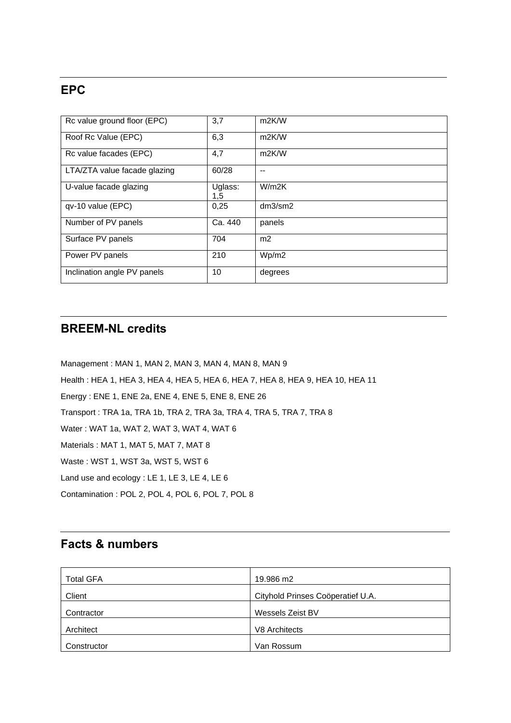#### **EPC**

| Rc value ground floor (EPC)  | 3,7            | m <sub>2K</sub> /W |
|------------------------------|----------------|--------------------|
| Roof Rc Value (EPC)          | 6,3            | m <sub>2K</sub> /W |
| Rc value facades (EPC)       | 4,7            | m <sub>2K</sub> /W |
| LTA/ZTA value facade glazing | 60/28          |                    |
| U-value facade glazing       | Uglass:<br>1,5 | W/m2K              |
| qv-10 value (EPC)            | 0,25           | dm3/sm2            |
| Number of PV panels          | Ca. 440        | panels             |
| Surface PV panels            | 704            | m <sub>2</sub>     |
| Power PV panels              | 210            | Wp/m2              |
| Inclination angle PV panels  | 10             | degrees            |

#### **BREEM-NL credits**

Management : MAN 1, MAN 2, MAN 3, MAN 4, MAN 8, MAN 9 Health : HEA 1, HEA 3, HEA 4, HEA 5, HEA 6, HEA 7, HEA 8, HEA 9, HEA 10, HEA 11 Energy : ENE 1, ENE 2a, ENE 4, ENE 5, ENE 8, ENE 26 Transport : TRA 1a, TRA 1b, TRA 2, TRA 3a, TRA 4, TRA 5, TRA 7, TRA 8 Water: WAT 1a, WAT 2, WAT 3, WAT 4, WAT 6 Materials : MAT 1, MAT 5, MAT 7, MAT 8 Waste: WST 1, WST 3a, WST 5, WST 6 Land use and ecology : LE 1, LE 3, LE 4, LE 6 Contamination : POL 2, POL 4, POL 6, POL 7, POL 8

#### **Facts & numbers**

| <b>Total GFA</b> | 19.986 m2                         |
|------------------|-----------------------------------|
| Client           | Cityhold Prinses Coöperatief U.A. |
| Contractor       | Wessels Zeist BV                  |
| Architect        | V8 Architects                     |
| Constructor      | Van Rossum                        |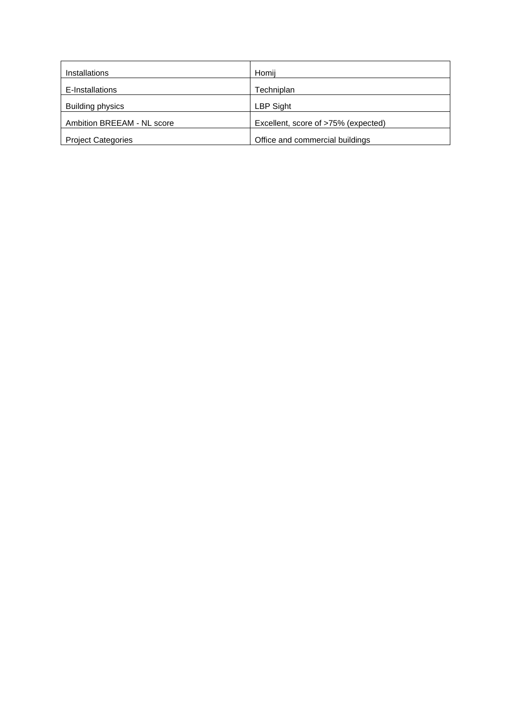| Installations              | Homij                               |
|----------------------------|-------------------------------------|
| E-Installations            | Techniplan                          |
| Building physics           | LBP Sight                           |
| Ambition BREEAM - NL score | Excellent, score of >75% (expected) |
| <b>Project Categories</b>  | Office and commercial buildings     |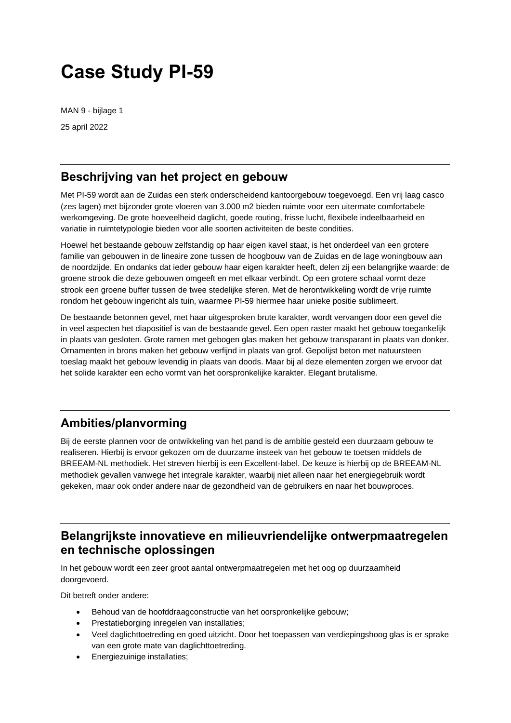# **Case Study PI-59**

MAN 9 - bijlage 1 25 april 2022

#### **Beschrijving van het project en gebouw**

Met PI-59 wordt aan de Zuidas een sterk onderscheidend kantoorgebouw toegevoegd. Een vrij laag casco (zes lagen) met bijzonder grote vloeren van 3.000 m2 bieden ruimte voor een uitermate comfortabele werkomgeving. De grote hoeveelheid daglicht, goede routing, frisse lucht, flexibele indeelbaarheid en variatie in ruimtetypologie bieden voor alle soorten activiteiten de beste condities.

Hoewel het bestaande gebouw zelfstandig op haar eigen kavel staat, is het onderdeel van een grotere familie van gebouwen in de lineaire zone tussen de hoogbouw van de Zuidas en de lage woningbouw aan de noordzijde. En ondanks dat ieder gebouw haar eigen karakter heeft, delen zij een belangrijke waarde: de groene strook die deze gebouwen omgeeft en met elkaar verbindt. Op een grotere schaal vormt deze strook een groene buffer tussen de twee stedelijke sferen. Met de herontwikkeling wordt de vrije ruimte rondom het gebouw ingericht als tuin, waarmee PI-59 hiermee haar unieke positie sublimeert.

De bestaande betonnen gevel, met haar uitgesproken brute karakter, wordt vervangen door een gevel die in veel aspecten het diapositief is van de bestaande gevel. Een open raster maakt het gebouw toegankelijk in plaats van gesloten. Grote ramen met gebogen glas maken het gebouw transparant in plaats van donker. Ornamenten in brons maken het gebouw verfijnd in plaats van grof. Gepolijst beton met natuursteen toeslag maakt het gebouw levendig in plaats van doods. Maar bij al deze elementen zorgen we ervoor dat het solide karakter een echo vormt van het oorspronkelijke karakter. Elegant brutalisme.

## **Ambities/planvorming**

Bij de eerste plannen voor de ontwikkeling van het pand is de ambitie gesteld een duurzaam gebouw te realiseren. Hierbij is ervoor gekozen om de duurzame insteek van het gebouw te toetsen middels de BREEAM-NL methodiek. Het streven hierbij is een Excellent-label. De keuze is hierbij op de BREEAM-NL methodiek gevallen vanwege het integrale karakter, waarbij niet alleen naar het energiegebruik wordt gekeken, maar ook onder andere naar de gezondheid van de gebruikers en naar het bouwproces.

#### **Belangrijkste innovatieve en milieuvriendelijke ontwerpmaatregelen en technische oplossingen**

In het gebouw wordt een zeer groot aantal ontwerpmaatregelen met het oog op duurzaamheid doorgevoerd.

Dit betreft onder andere:

- Behoud van de hoofddraagconstructie van het oorspronkelijke gebouw;
- Prestatieborging inregelen van installaties;
- Veel daglichttoetreding en goed uitzicht. Door het toepassen van verdiepingshoog glas is er sprake van een grote mate van daglichttoetreding.
- Energiezuinige installaties;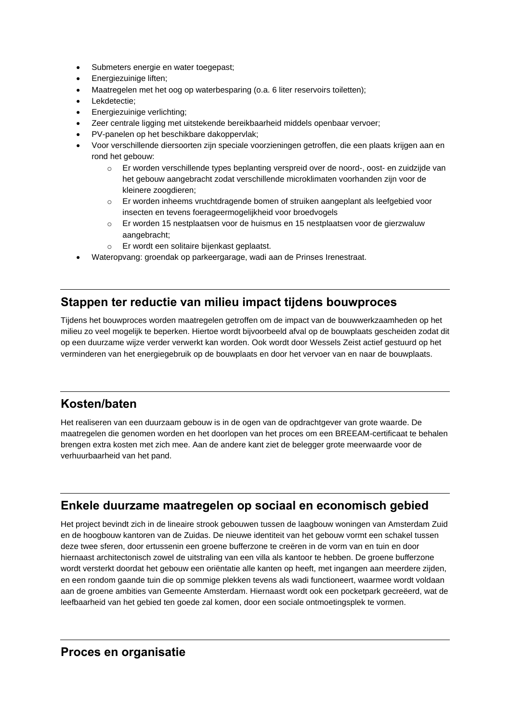- Submeters energie en water toegepast;
- Energiezuinige liften;
- Maatregelen met het oog op waterbesparing (o.a. 6 liter reservoirs toiletten);
- Lekdetectie:
- Energiezuinige verlichting:
- Zeer centrale ligging met uitstekende bereikbaarheid middels openbaar vervoer;
- PV-panelen op het beschikbare dakoppervlak;
- Voor verschillende diersoorten zijn speciale voorzieningen getroffen, die een plaats krijgen aan en rond het gebouw:
	- o Er worden verschillende types beplanting verspreid over de noord-, oost- en zuidzijde van het gebouw aangebracht zodat verschillende microklimaten voorhanden zijn voor de kleinere zoogdieren;
	- o Er worden inheems vruchtdragende bomen of struiken aangeplant als leefgebied voor insecten en tevens foerageermogelijkheid voor broedvogels
	- o Er worden 15 nestplaatsen voor de huismus en 15 nestplaatsen voor de gierzwaluw aangebracht;
	- o Er wordt een solitaire bijenkast geplaatst.
- Wateropvang: groendak op parkeergarage, wadi aan de Prinses Irenestraat.

#### **Stappen ter reductie van milieu impact tijdens bouwproces**

Tijdens het bouwproces worden maatregelen getroffen om de impact van de bouwwerkzaamheden op het milieu zo veel mogelijk te beperken. Hiertoe wordt bijvoorbeeld afval op de bouwplaats gescheiden zodat dit op een duurzame wijze verder verwerkt kan worden. Ook wordt door Wessels Zeist actief gestuurd op het verminderen van het energiegebruik op de bouwplaats en door het vervoer van en naar de bouwplaats.

#### **Kosten/baten**

Het realiseren van een duurzaam gebouw is in de ogen van de opdrachtgever van grote waarde. De maatregelen die genomen worden en het doorlopen van het proces om een BREEAM-certificaat te behalen brengen extra kosten met zich mee. Aan de andere kant ziet de belegger grote meerwaarde voor de verhuurbaarheid van het pand.

#### **Enkele duurzame maatregelen op sociaal en economisch gebied**

Het project bevindt zich in de lineaire strook gebouwen tussen de laagbouw woningen van Amsterdam Zuid en de hoogbouw kantoren van de Zuidas. De nieuwe identiteit van het gebouw vormt een schakel tussen deze twee sferen, door ertussenin een groene bufferzone te creëren in de vorm van en tuin en door hiernaast architectonisch zowel de uitstraling van een villa als kantoor te hebben. De groene bufferzone wordt versterkt doordat het gebouw een oriëntatie alle kanten op heeft, met ingangen aan meerdere zijden, en een rondom gaande tuin die op sommige plekken tevens als wadi functioneert, waarmee wordt voldaan aan de groene ambities van Gemeente Amsterdam. Hiernaast wordt ook een pocketpark gecreëerd, wat de leefbaarheid van het gebied ten goede zal komen, door een sociale ontmoetingsplek te vormen.

#### **Proces en organisatie**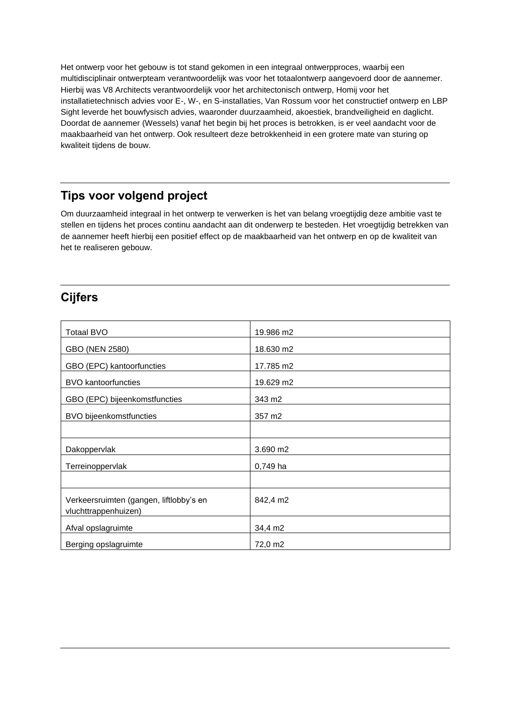Het ontwerp voor het gebouw is tot stand gekomen in een integraal ontwerpproces, waarbij een multidisciplinair ontwerpteam verantwoordelijk was voor het totaalontwerp aangevoerd door de aannemer. Hierbij was V8 Architects verantwoordelijk voor het architectonisch ontwerp, Homij voor het installatietechnisch advies voor E-, W-, en S-installaties, Van Rossum voor het constructief ontwerp en LBP Sight leverde het bouwfysisch advies, waaronder duurzaamheid, akoestiek, brandveiligheid en daglicht. Doordat de aannemer (Wessels) vanaf het begin bij het proces is betrokken, is er veel aandacht voor de maakbaarheid van het ontwerp. Ook resulteert deze betrokkenheid in een grotere mate van sturing op kwaliteit tijdens de bouw.

#### **Tips voor volgend project**

Om duurzaamheid integraal in het ontwerp te verwerken is het van belang vroegtijdig deze ambitie vast te stellen en tijdens het proces continu aandacht aan dit onderwerp te besteden. Het vroegtijdig betrekken van de aannemer heeft hierbij een positief effect op de maakbaarheid van het ontwerp en op de kwaliteit van het te realiseren gebouw.

#### **Cijfers**

| <b>Totaal BVO</b>                                               | 19.986 m2 |
|-----------------------------------------------------------------|-----------|
| GBO (NEN 2580)                                                  | 18.630 m2 |
| GBO (EPC) kantoorfuncties                                       | 17.785 m2 |
| <b>BVO</b> kantoorfuncties                                      | 19.629 m2 |
| GBO (EPC) bijeenkomstfuncties                                   | 343 m2    |
| <b>BVO</b> bijeenkomstfuncties                                  | 357 m2    |
|                                                                 |           |
| Dakoppervlak                                                    | 3.690 m2  |
| Terreinoppervlak                                                | 0,749 ha  |
|                                                                 |           |
| Verkeersruimten (gangen, liftlobby's en<br>vluchttrappenhuizen) | 842,4 m2  |
| Afval opslagruimte                                              | 34,4 m2   |
| Berging opslagruimte                                            | 72,0 m2   |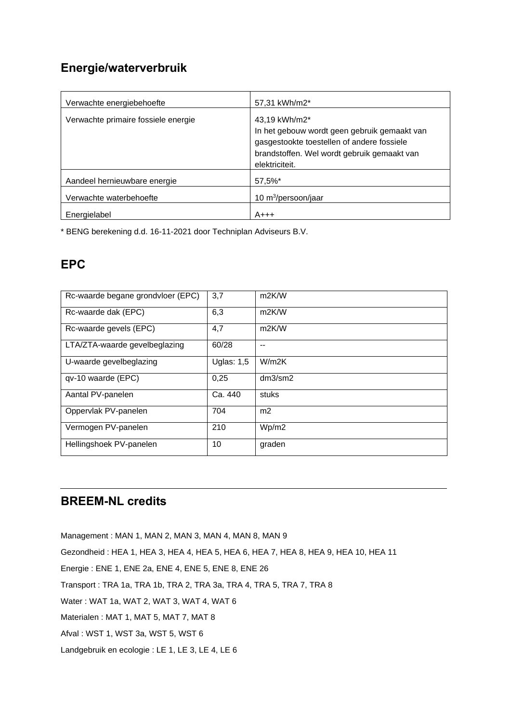#### **Energie/waterverbruik**

| Verwachte energiebehoefte           | 57,31 kWh/m2*                                                                                                                                                                |
|-------------------------------------|------------------------------------------------------------------------------------------------------------------------------------------------------------------------------|
| Verwachte primaire fossiele energie | 43,19 kWh/m2*<br>In het gebouw wordt geen gebruik gemaakt van<br>gasgestookte toestellen of andere fossiele<br>brandstoffen. Wel wordt gebruik gemaakt van<br>elektriciteit. |
| Aandeel hernieuwbare energie        | 57,5%*                                                                                                                                                                       |
| Verwachte waterbehoefte             | 10 $m^3$ /persoon/jaar                                                                                                                                                       |
| Energielabel                        | A+++                                                                                                                                                                         |

\* BENG berekening d.d. 16-11-2021 door Techniplan Adviseurs B.V.

## **EPC**

| Rc-waarde begane grondvloer (EPC) | 3,7          | m <sub>2K</sub> /W |
|-----------------------------------|--------------|--------------------|
| Rc-waarde dak (EPC)               | 6,3          | m <sub>2K</sub> /W |
| Rc-waarde gevels (EPC)            | 4,7          | m <sub>2K</sub> /W |
| LTA/ZTA-waarde gevelbeglazing     | 60/28        |                    |
| U-waarde gevelbeglazing           | Uglas: $1,5$ | W/m2K              |
| qv-10 waarde (EPC)                | 0,25         | dm3/sm2            |
| Aantal PV-panelen                 | Ca. 440      | stuks              |
| Oppervlak PV-panelen              | 704          | m <sub>2</sub>     |
| Vermogen PV-panelen               | 210          | Wp/m2              |
| Hellingshoek PV-panelen           | 10           | graden             |

## **BREEM-NL credits**

Management : MAN 1, MAN 2, MAN 3, MAN 4, MAN 8, MAN 9 Gezondheid : HEA 1, HEA 3, HEA 4, HEA 5, HEA 6, HEA 7, HEA 8, HEA 9, HEA 10, HEA 11 Energie : ENE 1, ENE 2a, ENE 4, ENE 5, ENE 8, ENE 26 Transport : TRA 1a, TRA 1b, TRA 2, TRA 3a, TRA 4, TRA 5, TRA 7, TRA 8 Water : WAT 1a, WAT 2, WAT 3, WAT 4, WAT 6 Materialen : MAT 1, MAT 5, MAT 7, MAT 8 Afval : WST 1, WST 3a, WST 5, WST 6 Landgebruik en ecologie : LE 1, LE 3, LE 4, LE 6